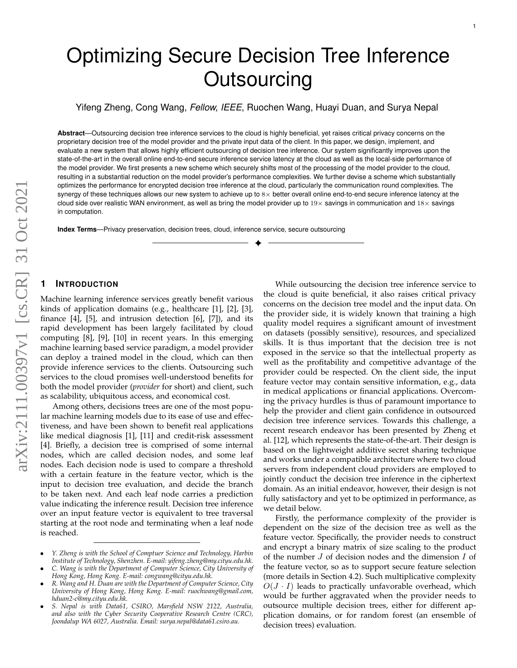# Optimizing Secure Decision Tree Inference **Outsourcing**

Yifeng Zheng, Cong Wang, *Fellow, IEEE*, Ruochen Wang, Huayi Duan, and Surya Nepal

**Abstract**—Outsourcing decision tree inference services to the cloud is highly beneficial, yet raises critical privacy concerns on the proprietary decision tree of the model provider and the private input data of the client. In this paper, we design, implement, and evaluate a new system that allows highly efficient outsourcing of decision tree inference. Our system significantly improves upon the state-of-the-art in the overall online end-to-end secure inference service latency at the cloud as well as the local-side performance of the model provider. We first presents a new scheme which securely shifts most of the processing of the model provider to the cloud, resulting in a substantial reduction on the model provider's performance complexities. We further devise a scheme which substantially optimizes the performance for encrypted decision tree inference at the cloud, particularly the communication round complexities. The synergy of these techniques allows our new system to achieve up to  $8\times$  better overall online end-to-end secure inference latency at the cloud side over realistic WAN environment, as well as bring the model provider up to  $19\times$  savings in communication and  $18\times$  savings in computation.

✦

**Index Terms**—Privacy preservation, decision trees, cloud, inference service, secure outsourcing

# **1 INTRODUCTION**

Machine learning inference services greatly benefit various kinds of application domains (e.g., healthcare [1], [2], [3], finance  $[4]$ ,  $[5]$ , and intrusion detection  $[6]$ ,  $[7]$ ), and its rapid development has been largely facilitated by cloud computing [8], [9], [10] in recent years. In this emerging machine learning based service paradigm, a model provider can deploy a trained model in the cloud, which can then provide inference services to the clients. Outsourcing such services to the cloud promises well-understood benefits for both the model provider (*provider* for short) and client, such as scalability, ubiquitous access, and economical cost.

Among others, decisions trees are one of the most popular machine learning models due to its ease of use and effectiveness, and have been shown to benefit real applications like medical diagnosis [1], [11] and credit-risk assessment [4]. Briefly, a decision tree is comprised of some internal nodes, which are called decision nodes, and some leaf nodes. Each decision node is used to compare a threshold with a certain feature in the feature vector, which is the input to decision tree evaluation, and decide the branch to be taken next. And each leaf node carries a prediction value indicating the inference result. Decision tree inference over an input feature vector is equivalent to tree traversal starting at the root node and terminating when a leaf node is reached.

While outsourcing the decision tree inference service to the cloud is quite beneficial, it also raises critical privacy concerns on the decision tree model and the input data. On the provider side, it is widely known that training a high quality model requires a significant amount of investment on datasets (possibly sensitive), resources, and specialized skills. It is thus important that the decision tree is not exposed in the service so that the intellectual property as well as the profitability and competitive advantage of the provider could be respected. On the client side, the input feature vector may contain sensitive information, e.g., data in medical applications or financial applications. Overcoming the privacy hurdles is thus of paramount importance to help the provider and client gain confidence in outsourced decision tree inference services. Towards this challenge, a recent research endeavor has been presented by Zheng et al. [12], which represents the state-of-the-art. Their design is based on the lightweight additive secret sharing technique and works under a compatible architecture where two cloud servers from independent cloud providers are employed to jointly conduct the decision tree inference in the ciphertext domain. As an initial endeavor, however, their design is not fully satisfactory and yet to be optimized in performance, as we detail below.

Firstly, the performance complexity of the provider is dependent on the size of the decision tree as well as the feature vector. Specifically, the provider needs to construct and encrypt a binary matrix of size scaling to the product of the number  $J$  of decision nodes and the dimension  $I$  of the feature vector, so as to support secure feature selection (more details in Section 4.2). Such multiplicative complexity  $O(J \cdot I)$  leads to practically unfavorable overhead, which would be further aggravated when the provider needs to outsource multiple decision trees, either for different application domains, or for random forest (an ensemble of decision trees) evaluation.

<sup>•</sup> *Y. Zheng is with the School of Comptuer Science and Technology, Harbin Institute of Technology, Shenzhen. E-mail: yifeng.zheng@my.cityu.edu.hk.*

<sup>•</sup> *C. Wang is with the Department of Computer Science, City University of Hong Kong, Hong Kong. E-mail: congwang@cityu.edu.hk.*

<sup>•</sup> *R. Wang and H. Duan are with the Department of Computer Science, City University of Hong Kong, Hong Kong. E-mail: ruochwang@gmail.com, hduan2-c@my.cityu.edu.hk.*

<sup>•</sup> *S. Nepal is with Data61, CSIRO, Marsfield NSW 2122, Australia, and also with the Cyber Security Cooperative Research Centre (CRC), Joondalup WA 6027, Australia. Email: surya.nepal@data61.csiro.au.*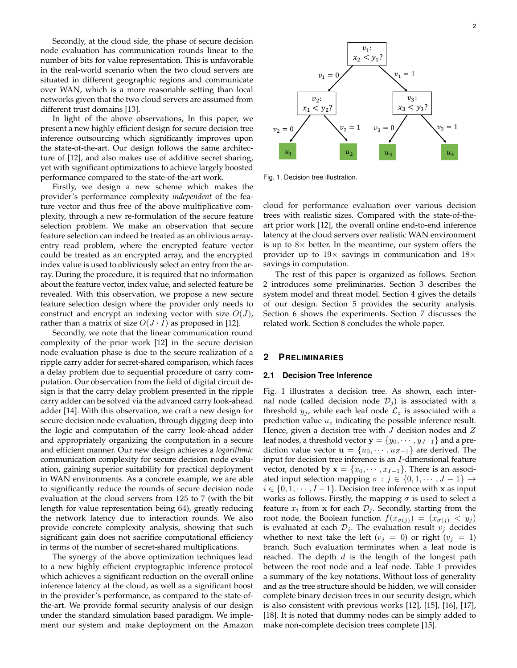Secondly, at the cloud side, the phase of secure decision node evaluation has communication rounds linear to the number of bits for value representation. This is unfavorable in the real-world scenario when the two cloud servers are situated in different geographic regions and communicate over WAN, which is a more reasonable setting than local networks given that the two cloud servers are assumed from different trust domains [13].

In light of the above observations, In this paper, we present a new highly efficient design for secure decision tree inference outsourcing which significantly improves upon the state-of-the-art. Our design follows the same architecture of [12], and also makes use of additive secret sharing, yet with significant optimizations to achieve largely boosted performance compared to the state-of-the-art work.

Firstly, we design a new scheme which makes the provider's performance complexity *independent* of the feature vector and thus free of the above multiplicative complexity, through a new re-formulation of the secure feature selection problem. We make an observation that secure feature selection can indeed be treated as an oblivious arrayentry read problem, where the encrypted feature vector could be treated as an encrypted array, and the encrypted index value is used to obliviously select an entry from the array. During the procedure, it is required that no information about the feature vector, index value, and selected feature be revealed. With this observation, we propose a new secure feature selection design where the provider only needs to construct and encrypt an indexing vector with size  $O(J)$ , rather than a matrix of size  $O(J \cdot I)$  as proposed in [12].

Secondly, we note that the linear communication round complexity of the prior work [12] in the secure decision node evaluation phase is due to the secure realization of a ripple carry adder for secret-shared comparison, which faces a delay problem due to sequential procedure of carry computation. Our observation from the field of digital circuit design is that the carry delay problem presented in the ripple carry adder can be solved via the advanced carry look-ahead adder [14]. With this observation, we craft a new design for secure decision node evaluation, through digging deep into the logic and computation of the carry look-ahead adder and appropriately organizing the computation in a secure and efficient manner. Our new design achieves a *logarithmic* communication complexity for secure decision node evaluation, gaining superior suitability for practical deployment in WAN environments. As a concrete example, we are able to significantly reduce the rounds of secure decision node evaluation at the cloud servers from 125 to 7 (with the bit length for value representation being 64), greatly reducing the network latency due to interaction rounds. We also provide concrete complexity analysis, showing that such significant gain does not sacrifice computational efficiency in terms of the number of secret-shared multiplications.

The synergy of the above optimization techniques lead to a new highly efficient cryptographic inference protocol which achieves a significant reduction on the overall online inference latency at the cloud, as well as a significant boost in the provider's performance, as compared to the state-ofthe-art. We provide formal security analysis of our design under the standard simulation based paradigm. We implement our system and make deployment on the Amazon



Fig. 1. Decision tree illustration.

cloud for performance evaluation over various decision trees with realistic sizes. Compared with the state-of-theart prior work [12], the overall online end-to-end inference latency at the cloud servers over realistic WAN environment is up to  $8\times$  better. In the meantime, our system offers the provider up to  $19\times$  savings in communication and  $18\times$ savings in computation.

The rest of this paper is organized as follows. Section 2 introduces some preliminaries. Section 3 describes the system model and threat model. Section 4 gives the details of our design. Section 5 provides the security analysis. Section 6 shows the experiments. Section 7 discusses the related work. Section 8 concludes the whole paper.

# **2 PRELIMINARIES**

### **2.1 Decision Tree Inference**

Fig. 1 illustrates a decision tree. As shown, each internal node (called decision node  $\mathcal{D}_i$ ) is associated with a threshold  $y_i$ , while each leaf node  $\mathcal{L}_z$  is associated with a prediction value  $u<sub>z</sub>$  indicating the possible inference result. Hence, given a decision tree with  $J$  decision nodes and  $Z$ leaf nodes, a threshold vector  $\mathbf{y} = \{y_0, \dots, y_{J-1}\}\)$  and a prediction value vector  $\mathbf{u} = \{u_0, \dots, u_{Z-1}\}\$ are derived. The input for decision tree inference is an I-dimensional feature vector, denoted by  $\mathbf{x} = \{x_0, \dots, x_{I-1}\}\.$  There is an associated input selection mapping  $\sigma : j \in \{0, 1, \dots, J - 1\} \rightarrow$  $i \in \{0, 1, \dots, I-1\}$ . Decision tree inference with x as input works as follows. Firstly, the mapping  $\sigma$  is used to select a feature  $x_i$  from **x** for each  $\mathcal{D}_j$ . Secondly, starting from the root node, the Boolean function  $f(x_{\sigma(j)}) = (x_{\sigma(j)} < y_j)$ is evaluated at each  $\mathcal{D}_j$ . The evaluation result  $v_j$  decides whether to next take the left ( $v_j = 0$ ) or right ( $v_j = 1$ ) branch. Such evaluation terminates when a leaf node is reached. The depth  $d$  is the length of the longest path between the root node and a leaf node. Table 1 provides a summary of the key notations. Without loss of generality and as the tree structure should be hidden, we will consider complete binary decision trees in our security design, which is also consistent with previous works [12], [15], [16], [17], [18]. It is noted that dummy nodes can be simply added to make non-complete decision trees complete [15].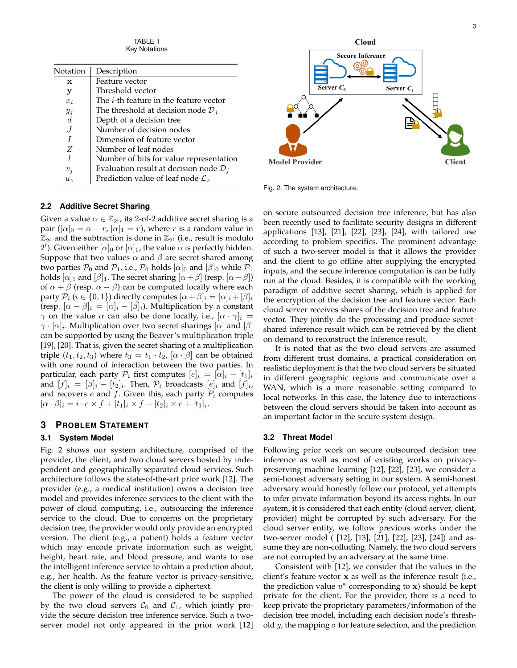TABLE 1 Key Notations

| Notation       | Description                                        |  |  |
|----------------|----------------------------------------------------|--|--|
| X              | Feature vector                                     |  |  |
| у              | Threshold vector                                   |  |  |
| $x_i$          | The <i>i</i> -th feature in the feature vector     |  |  |
| $y_i$          | The threshold at decision node $\mathcal{D}_i$     |  |  |
| $\overline{d}$ | Depth of a decision tree                           |  |  |
|                | Number of decision nodes                           |  |  |
|                | Dimension of feature vector                        |  |  |
| Z              | Number of leaf nodes                               |  |  |
| I.             | Number of bits for value representation            |  |  |
| $v_i$          | Evaluation result at decision node $\mathcal{D}_i$ |  |  |
| $u_{\gamma}$   | Prediction value of leaf node $\mathcal{L}_z$      |  |  |

#### **2.2 Additive Secret Sharing**

Given a value  $\alpha \in \mathbb{Z}_{2^l}$ , its 2-of-2 additive secret sharing is a pair ( $[\alpha]_0 = \alpha - r$ ,  $[\alpha]_1 = r$ ), where r is a random value in  $\mathbb{Z}_{2^l}$  and the subtraction is done in  $\mathbb{Z}_{2^l}$  (i.e., result is modulo  $2^l$ ). Given either  $[\alpha]_0$  or  $[\alpha]_1$ , the value  $\alpha$  is perfectly hidden. Suppose that two values  $\alpha$  and  $\beta$  are secret-shared among two parties  $P_0$  and  $P_1$ , i.e.,  $P_0$  holds  $[\alpha]_0$  and  $[\beta]_0$  while  $P_1$ holds  $[\alpha]_1$  and  $[\beta]_1$ . The secret sharing  $[\alpha + \beta]$  (resp.  $[\alpha - \beta]$ ) of  $\alpha + \beta$  (resp.  $\alpha - \beta$ ) can be computed locally where each party  $P_i$  ( $i \in \{0, 1\}$ ) directly computes  $[\alpha + \beta]_i = [\alpha]_i + [\beta]_i$ (resp.  $[\alpha - \beta]_i = [\alpha]_i - [\beta]_i$ ). Multiplication by a constant  $\gamma$  on the value  $\alpha$  can also be done locally, i.e.,  $[\alpha \cdot \gamma]_i =$  $\gamma\cdot[\alpha]_i$ . Multiplication over two secret sharings  $[\alpha]$  and  $[\beta]$ can be supported by using the Beaver's multiplication triple [19], [20]. That is, given the secret sharing of a multiplication triple  $(t_1, t_2, t_3)$  where  $t_3 = t_1 \cdot t_2$ ,  $[\alpha \cdot \beta]$  can be obtained with one round of interaction between the two parties. In particular, each party  $\mathcal{P}_i$  first computes  $[e]_i = [\alpha]_i - [t_1]_i$ and  $[f]_i = [\beta]_i - [t_2]_i$ . Then,  $\mathcal{P}_i$  broadcasts  $[e]_i$  and  $[f]_i$ , and recovers  $e$  and  $f$ . Given this, each party  $P_i$  computes  $[\alpha \cdot \beta]_i = i \cdot e \times f + [t_1]_i \times f + [t_2]_i \times e + [t_3]_i.$ 

# **3 PROBLEM STATEMENT**

#### **3.1 System Model**

Fig. 2 shows our system architecture, comprised of the provider, the client, and two cloud servers hosted by independent and geographically separated cloud services. Such architecture follows the state-of-the-art prior work [12]. The provider (e.g., a medical institution) owns a decision tree model and provides inference services to the client with the power of cloud computing, i.e., outsourcing the inference service to the cloud. Due to concerns on the proprietary decision tree, the provider would only provide an encrypted version. The client (e.g., a patient) holds a feature vector which may encode private information such as weight, height, heart rate, and blood pressure, and wants to use the intelligent inference service to obtain a prediction about, e.g., her health. As the feature vector is privacy-sensitive, the client is only willing to provide a ciphertext.

The power of the cloud is considered to be supplied by the two cloud servers  $C_0$  and  $C_1$ , which jointly provide the secure decision tree inference service. Such a twoserver model not only appeared in the prior work [12]



Fig. 2. The system architecture.

on secure outsourced decision tree inference, but has also been recently used to facilitate security designs in different applications [13], [21], [22], [23], [24], with tailored use according to problem specifics. The prominent advantage of such a two-server model is that it allows the provider and the client to go offline after supplying the encrypted inputs, and the secure inference computation is can be fully run at the cloud. Besides, it is compatible with the working paradigm of additive secret sharing, which is applied for the encryption of the decision tree and feature vector. Each cloud server receives shares of the decision tree and feature vector. They jointly do the processing and produce secretshared inference result which can be retrieved by the client on demand to reconstruct the inference result.

It is noted that as the two cloud servers are assumed from different trust domains, a practical consideration on realistic deployment is that the two cloud servers be situated in different geographic regions and communicate over a WAN, which is a more reasonable setting compared to local networks. In this case, the latency due to interactions between the cloud servers should be taken into account as an important factor in the secure system design.

#### **3.2 Threat Model**

Following prior work on secure outsourced decision tree inference as well as most of existing works on privacypreserving machine learning [12], [22], [23], we consider a semi-honest adversary setting in our system. A semi-honest adversary would honestly follow our protocol, yet attempts to infer private information beyond its access rights. In our system, it is considered that each entity (cloud server, client, provider) might be corrupted by such adversary. For the cloud server entity, we follow previous works under the two-server model ( [12], [13], [21], [22], [23], [24]) and assume they are non-colluding. Namely, the two cloud servers are not corrupted by an adversary at the same time.

Consistent with [12], we consider that the values in the client's feature vector x as well as the inference result (i.e., the prediction value  $u^*$  corresponding to x) should be kept private for the client. For the provider, there is a need to keep private the proprietary parameters/information of the decision tree model, including each decision node's threshold y, the mapping  $\sigma$  for feature selection, and the prediction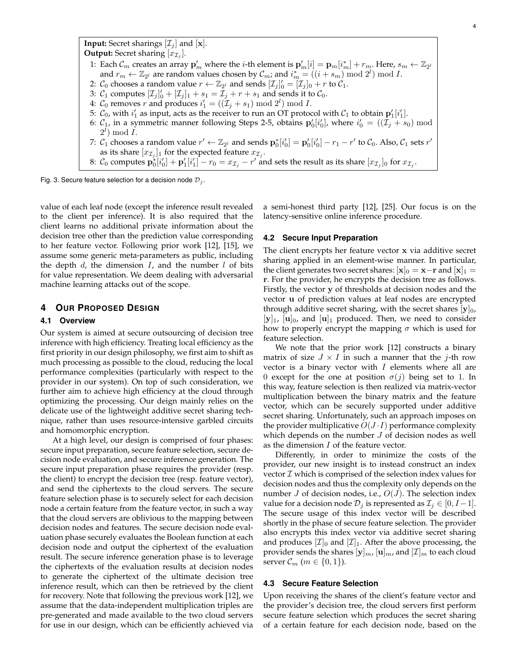**Input:** Secret sharings  $[\mathcal{I}_i]$  and  $[\mathbf{x}]$ . **Output:** Secret sharing  $[x_{\mathcal{I}_j}]$ . 1: Each  $\mathcal{C}_m$  creates an array  $\mathbf{p}'_m$  where the *i*-th element is  $\mathbf{p}'_m[i] = \mathbf{p}_m[i^*_m] + r_m$ . Here,  $s_m \leftarrow \mathbb{Z}_{2^l}$ and  $r_m \leftarrow \mathbb{Z}_{2^l}$  are random values chosen by  $\mathcal{C}_m$ ; and  $i_m^* = ((i + s_m) \bmod 2^l) \bmod I$ . 2:  $\mathcal{C}_0$  chooses a random value  $r \leftarrow \mathbb{Z}_{2^l}$  and sends  $[\mathcal{I}_j]'_0 = [\mathcal{I}_j]_0 + r$  to  $\mathcal{C}_1$ . 3:  $C_1$  computes  $[\mathcal{I}_j]'_0 + [\mathcal{I}_j]_1 + s_1 = \mathcal{I}_j + r + s_1$  and sends it to  $C_0$ . 4:  $C_0$  removes r and produces  $i'_1 = ((\mathcal{I}_j + s_1) \bmod 2^l) \bmod I$ . 5:  $C_0$ , with  $i'_1$  as input, acts as the receiver to run an OT protocol with  $C_1$  to obtain  $\mathbf{p}'_1[i'_1]$ . 6:  $C_1$ , in a symmetric manner following Steps 2-5, obtains  ${\bf p}'_0[i'_0]$ , where  $i'_0 = ((\mathcal{I}_j + s_0) \bmod$  $2^l$ ) mod  $\overline{I}$ . 7:  $C_1$  chooses a random value  $r' \leftarrow \mathbb{Z}_{2^l}$  and sends  $\mathbf{p}_0^*[i'_0] = \mathbf{p}_0'[i'_0] - r_1 - r'$  to  $C_0$ . Also,  $C_1$  sets  $r'$ as its share  $[x_{\mathcal{I}_j}]_1$  for the expected feature  $x_{\mathcal{I}_j}.$ 8:  $C_0$  computes  $\mathbf{p}_0^* [i'_0] + \mathbf{p}_1'[i'_1] - r_0 = x_{\mathcal{I}_j} - r'$  and sets the result as its share  $[x_{\mathcal{I}_j}]_0$  for  $x_{\mathcal{I}_j}$ .

Fig. 3. Secure feature selection for a decision node  $\mathcal{D}_j$ .

value of each leaf node (except the inference result revealed to the client per inference). It is also required that the client learns no additional private information about the decision tree other than the prediction value corresponding to her feature vector. Following prior work [12], [15], we assume some generic meta-parameters as public, including the depth  $d$ , the dimension  $I$ , and the number  $l$  of bits for value representation. We deem dealing with adversarial machine learning attacks out of the scope.

# **4 OUR PROPOSED DESIGN**

## **4.1 Overview**

Our system is aimed at secure outsourcing of decision tree inference with high efficiency. Treating local efficiency as the first priority in our design philosophy, we first aim to shift as much processing as possible to the cloud, reducing the local performance complexities (particularly with respect to the provider in our system). On top of such consideration, we further aim to achieve high efficiency at the cloud through optimizing the processing. Our deign mainly relies on the delicate use of the lightweight additive secret sharing technique, rather than uses resource-intensive garbled circuits and homomorphic encryption.

At a high level, our design is comprised of four phases: secure input preparation, secure feature selection, secure decision node evaluation, and secure inference generation. The secure input preparation phase requires the provider (resp. the client) to encrypt the decision tree (resp. feature vector), and send the ciphertexts to the cloud servers. The secure feature selection phase is to securely select for each decision node a certain feature from the feature vector, in such a way that the cloud servers are oblivious to the mapping between decision nodes and features. The secure decision node evaluation phase securely evaluates the Boolean function at each decision node and output the ciphertext of the evaluation result. The secure inference generation phase is to leverage the ciphertexts of the evaluation results at decision nodes to generate the ciphertext of the ultimate decision tree inference result, which can then be retrieved by the client for recovery. Note that following the previous work [12], we assume that the data-independent multiplication triples are pre-generated and made available to the two cloud servers for use in our design, which can be efficiently achieved via

a semi-honest third party [12], [25]. Our focus is on the latency-sensitive online inference procedure.

#### **4.2 Secure Input Preparation**

The client encrypts her feature vector x via additive secret sharing applied in an element-wise manner. In particular, the client generates two secret shares:  $[x]_0 = x - r$  and  $[x]_1 =$ r. For the provider, he encrypts the decision tree as follows. Firstly, the vector y of thresholds at decision nodes and the vector u of prediction values at leaf nodes are encrypted through additive secret sharing, with the secret shares  $[y]_0$ ,  $[y]_1$ ,  $[u]_0$ , and  $[u]_1$  produced. Then, we need to consider how to properly encrypt the mapping  $\sigma$  which is used for feature selection.

We note that the prior work [12] constructs a binary matrix of size  $J \times I$  in such a manner that the j-th row vector is a binary vector with  $I$  elements where all are 0 except for the one at position  $\sigma(j)$  being set to 1. In this way, feature selection is then realized via matrix-vector multiplication between the binary matrix and the feature vector, which can be securely supported under additive secret sharing. Unfortunately, such an approach imposes on the provider multiplicative  $O(J \cdot I)$  performance complexity which depends on the number  $J$  of decision nodes as well as the dimension  $I$  of the feature vector.

Differently, in order to minimize the costs of the provider, our new insight is to instead construct an index vector  $\mathcal I$  which is comprised of the selection index values for decision nodes and thus the complexity only depends on the number *J* of decision nodes, i.e.,  $O(J)$ . The selection index value for a decision node  $\mathcal{D}_j$  is represented as  $\mathcal{I}_j \in [0, I-1]$ . The secure usage of this index vector will be described shortly in the phase of secure feature selection. The provider also encrypts this index vector via additive secret sharing and produces  $[\mathcal{I}]_0$  and  $[\mathcal{I}]_1$ . After the above processing, the provider sends the shares  $[\mathbf{y}]_{m}$ ,  $[\mathbf{u}]_{m}$ , and  $[\mathcal{I}]_{m}$  to each cloud server  $\mathcal{C}_m$   $(m \in \{0, 1\})$ .

## **4.3 Secure Feature Selection**

Upon receiving the shares of the client's feature vector and the provider's decision tree, the cloud servers first perform secure feature selection which produces the secret sharing of a certain feature for each decision node, based on the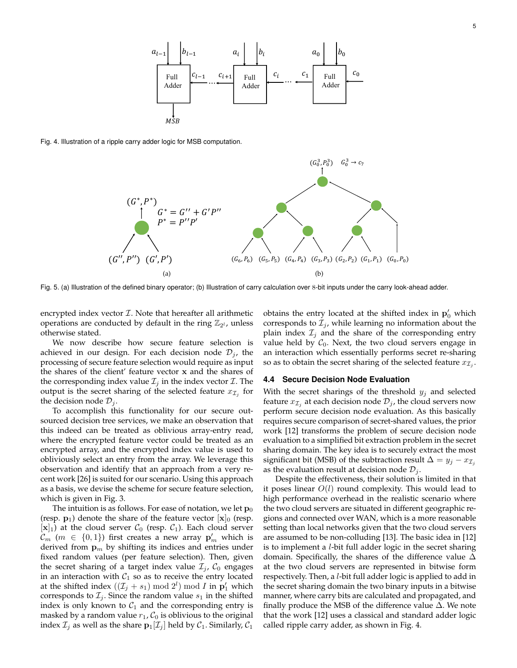

Fig. 4. Illustration of a ripple carry adder logic for MSB computation.



Fig. 5. (a) Illustration of the defined binary operator; (b) Illustration of carry calculation over 8-bit inputs under the carry look-ahead adder.

encrypted index vector  $I$ . Note that hereafter all arithmetic operations are conducted by default in the ring  $\mathbb{Z}_{2^l}$ , unless otherwise stated.

We now describe how secure feature selection is achieved in our design. For each decision node  $\mathcal{D}_i$ , the processing of secure feature selection would require as input the shares of the client' feature vector x and the shares of the corresponding index value  $\mathcal{I}_i$  in the index vector  $\mathcal{I}$ . The output is the secret sharing of the selected feature  $x_{\mathcal{I}_j}$  for the decision node  $\mathcal{D}_j$ .

To accomplish this functionality for our secure outsourced decision tree services, we make an observation that this indeed can be treated as oblivious array-entry read, where the encrypted feature vector could be treated as an encrypted array, and the encrypted index value is used to obliviously select an entry from the array. We leverage this observation and identify that an approach from a very recent work [26] is suited for our scenario. Using this approach as a basis, we devise the scheme for secure feature selection, which is given in Fig. 3.

The intuition is as follows. For ease of notation, we let  $\mathbf{p}_0$ (resp.  $\mathbf{p}_1$ ) denote the share of the feature vector  $[\mathbf{x}]_0$  (resp.  $[x]_1$ ) at the cloud server  $C_0$  (resp.  $C_1$ ). Each cloud server  $\mathcal{C}_m$   $(m \in \{0,1\})$  first creates a new array  $\mathbf{p}'_m$  which is derived from  $\mathbf{p}_m$  by shifting its indices and entries under fixed random values (per feature selection). Then, given the secret sharing of a target index value  $\mathcal{I}_i$ ,  $\mathcal{C}_0$  engages in an interaction with  $C_1$  so as to receive the entry located at the shifted index  $((\mathcal{I}_j + s_1) \bmod 2^l) \bmod I$  in  $\mathbf{p}'_1$  which corresponds to  $\mathcal{I}_i$ . Since the random value  $s_1$  in the shifted index is only known to  $C_1$  and the corresponding entry is masked by a random value  $r_1$ ,  $\mathcal{C}_0$  is oblivious to the original index  $\mathcal{I}_j$  as well as the share  $\mathbf{p}_1[\mathcal{I}_j]$  held by  $\mathcal{C}_1$ . Similarly,  $\mathcal{C}_1$ 

obtains the entry located at the shifted index in  $\mathbf{p}'_0$  which corresponds to  $\mathcal{I}_j$ , while learning no information about the plain index  $\mathcal{I}_i$  and the share of the corresponding entry value held by  $C_0$ . Next, the two cloud servers engage in an interaction which essentially performs secret re-sharing so as to obtain the secret sharing of the selected feature  $x_{\mathcal{I}_j}$ .

#### **4.4 Secure Decision Node Evaluation**

With the secret sharings of the threshold  $y_i$  and selected feature  $x_{\mathcal{I}_j}$  at each decision node  $\mathcal{D}_j$ , the cloud servers now perform secure decision node evaluation. As this basically requires secure comparison of secret-shared values, the prior work [12] transforms the problem of secure decision node evaluation to a simplified bit extraction problem in the secret sharing domain. The key idea is to securely extract the most significant bit (MSB) of the subtraction result  $\Delta = y_i - x_{\mathcal{I}_i}$ as the evaluation result at decision node  $\mathcal{D}_j$ .

Despite the effectiveness, their solution is limited in that it poses linear  $O(l)$  round complexity. This would lead to high performance overhead in the realistic scenario where the two cloud servers are situated in different geographic regions and connected over WAN, which is a more reasonable setting than local networks given that the two cloud servers are assumed to be non-colluding [13]. The basic idea in [12] is to implement a l-bit full adder logic in the secret sharing domain. Specifically, the shares of the difference value  $\Delta$ at the two cloud servers are represented in bitwise form respectively. Then, a l-bit full adder logic is applied to add in the secret sharing domain the two binary inputs in a bitwise manner, where carry bits are calculated and propagated, and finally produce the MSB of the difference value  $\Delta$ . We note that the work [12] uses a classical and standard adder logic called ripple carry adder, as shown in Fig. 4.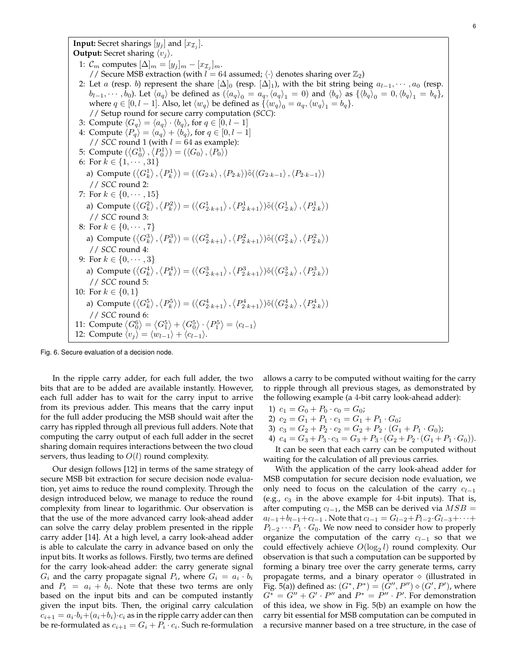**Input:** Secret sharings  $[y_j]$  and  $[x_{\mathcal{I}_j}]$ . **Output:** Secret sharing  $\langle v_j \rangle$ . 1:  $\mathcal{C}_m$  computes  $[\Delta]_m = [y_j]_m - [x_{\mathcal{I}_j}]_m$ . // Secure MSB extraction (with  $l = 64$  assumed;  $\langle \cdot \rangle$  denotes sharing over  $\mathbb{Z}_2$ ) 2: Let a (resp. b) represent the share  $[\Delta]_0$  (resp.  $[\Delta]_1$ ), with the bit string being  $a_{l-1}, \dots, a_0$  (resp.  $b_{l-1}, \cdots, b_0$ ). Let  $\langle a_q \rangle$  be defined as  $(\langle a_q \rangle_0 = a_q, \langle a_q \rangle_1 = 0)$  and  $\langle b_q \rangle$  as  $\{\langle b_q \rangle_0 = 0, \langle b_q \rangle_1 = b_q\}$ , where  $q \in [0, l-1]$ . Also, let  $\langle w_q \rangle$  be defined as  $\{\langle w_q \rangle_0 = a_q, \langle w_q \rangle_1 = b_q\}$ . // Setup round for secure carry computation (*SCC*): 3: Compute  $\langle G_q \rangle = \langle a_q \rangle \cdot \langle b_q \rangle$ , for  $q \in [0, l - 1]$ 4: Compute  $\langle P_q \rangle = \langle a_q \rangle + \langle b_q \rangle$ , for  $q \in [0, l - 1]$ // *SCC* round 1 (with  $l = 64$  as example): 5: Compute  $(\langle G_0^1 \rangle, \langle P_0^1 \rangle) = (\langle G_0 \rangle, \langle P_0 \rangle)$ 6: For  $k \in \{1, \cdots, 31\}$ a) Compute  $(\langle G^1_k \rangle, \langle P^1_k \rangle) = (\langle G_{2 \cdot k} \rangle, \langle P_{2 \cdot k} \rangle) \tilde{\diamond} (\langle G_{2 \cdot k-1} \rangle, \langle P_{2 \cdot k-1} \rangle)$ // *SCC* round 2: 7: For  $k \in \{0, \dots, 15\}$ a) Compute  $(\langle G_k^2 \rangle, \langle P_k^2 \rangle) = (\langle G_{2 \cdot k+1}^1 \rangle, \langle P_{2 \cdot k+1}^1 \rangle) \tilde{\diamond} (\langle G_{2 \cdot k}^1 \rangle, \langle P_{2 \cdot k}^1 \rangle)$ // *SCC* round 3: 8: For  $k \in \{0, \dots, 7\}$ a) Compute  $(\langle G_k^3\rangle,\langle P_k^3\rangle)=(\langle G_{2\cdot k+1}^2\rangle,\langle P_{2\cdot k+1}^2\rangle) \tilde{\diamond} (\langle G_{2\cdot k}^2\rangle,\langle P_{2\cdot k}^2\rangle)$ // *SCC* round 4: 9: For  $k \in \{0, \dots, 3\}$ a) Compute  $(\langle G_k^4 \rangle, \langle P_k^4 \rangle) = (\langle G_{2 \cdot k+1}^3 \rangle, \langle P_{2 \cdot k+1}^3 \rangle) \tilde{\diamond} (\langle G_{2 \cdot k}^3 \rangle, \langle P_{2 \cdot k}^3 \rangle)$ // *SCC* round 5: 10: For  $k \in \{0, 1\}$ a) Compute  $(\langle G^5_k \rangle, \langle P^5_k \rangle) = (\langle G^4_{2 \cdot k+1} \rangle, \langle P^4_{2 \cdot k+1} \rangle) \tilde{\diamond} (\langle G^4_{2 \cdot k} \rangle, \langle P^4_{2 \cdot k} \rangle)$ // *SCC* round 6: 11: Compute  $\langle G_0^6 \rangle = \langle G_1^5 \rangle + \langle G_0^5 \rangle \cdot \langle P_1^5 \rangle = \langle c_{l-1} \rangle$ 12: Compute  $\langle v_i \rangle = \langle w_{l-1} \rangle + \langle c_{l-1} \rangle$ .

Fig. 6. Secure evaluation of a decision node.

In the ripple carry adder, for each full adder, the two bits that are to be added are available instantly. However, each full adder has to wait for the carry input to arrive from its previous adder. This means that the carry input for the full adder producing the MSB should wait after the carry has rippled through all previous full adders. Note that computing the carry output of each full adder in the secret sharing domain requires interactions between the two cloud servers, thus leading to  $O(l)$  round complexity.

Our design follows [12] in terms of the same strategy of secure MSB bit extraction for secure decision node evaluation, yet aims to reduce the round complexity. Through the design introduced below, we manage to reduce the round complexity from linear to logarithmic. Our observation is that the use of the more advanced carry look-ahead adder can solve the carry delay problem presented in the ripple carry adder [14]. At a high level, a carry look-ahead adder is able to calculate the carry in advance based on only the input bits. It works as follows. Firstly, two terms are defined for the carry look-ahead adder: the carry generate signal  $G_i$  and the carry propagate signal  $P_i$ , where  $G_i = a_i \cdot b_i$ and  $P_i = a_i + b_i$ . Note that these two terms are only based on the input bits and can be computed instantly given the input bits. Then, the original carry calculation  $c_{i+1} = a_i \cdot b_i + (a_i + b_i) \cdot c_i$  as in the ripple carry adder can then be re-formulated as  $c_{i+1} = G_i + P_i \cdot c_i$ . Such re-formulation allows a carry to be computed without waiting for the carry to ripple through all previous stages, as demonstrated by the following example (a 4-bit carry look-ahead adder):

- 1)  $c_1 = G_0 + P_0 \cdot c_0 = G_0;$
- 2)  $c_2 = G_1 + P_1 \cdot c_1 = G_1 + P_1 \cdot G_0;$
- 3)  $c_3 = G_2 + P_2 \cdot c_2 = G_2 + P_2 \cdot (G_1 + P_1 \cdot G_0);$
- 4)  $c_4 = G_3 + P_3 \cdot c_3 = G_3 + P_3 \cdot (G_2 + P_2 \cdot (G_1 + P_1 \cdot G_0)).$

It can be seen that each carry can be computed without waiting for the calculation of all previous carries.

With the application of the carry look-ahead adder for MSB computation for secure decision node evaluation, we only need to focus on the calculation of the carry  $c_{l-1}$ (e.g.,  $c_3$  in the above example for 4-bit inputs). That is, after computing  $c_{l-1}$ , the MSB can be derived via  $MSB =$  $a_{l-1}+b_{l-1}+c_{l-1}$ . Note that  $c_{l-1}=G_{l-2}+P_{l-2}\cdot G_{l-3}+\cdots+$  $P_{l-2}\cdots P_1\cdot G_0$ . We now need to consider how to properly organize the computation of the carry  $c_{l-1}$  so that we could effectively achieve  $O(\log_2 l)$  round complexity. Our observation is that such a computation can be supported by forming a binary tree over the carry generate terms, carry propagate terms, and a binary operator  $\diamond$  (illustrated in Fig. 5(a)) defined as:  $(G^*, P^*) = (\tilde{G}'', P'') \diamond (G', P')$ , where  $G^* = G'' + G' \cdot P''$  and  $P^* = P'' \cdot P'$ . For demonstration of this idea, we show in Fig. 5(b) an example on how the carry bit essential for MSB computation can be computed in a recursive manner based on a tree structure, in the case of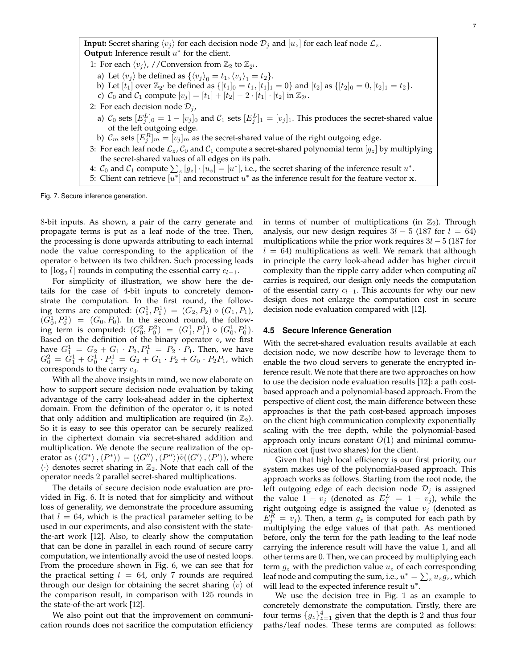**Input:** Secret sharing  $\langle v_i \rangle$  for each decision node  $\mathcal{D}_i$  and  $|u_z|$  for each leaf node  $\mathcal{L}_z$ . **Output:** Inference result  $u^*$  for the client.

1: For each  $\langle v_j \rangle$ , //Conversion from  $\mathbb{Z}_2$  to  $\mathbb{Z}_{2^l}$ .

- a) Let  $\langle v_j \rangle$  be defined as  $\{\langle v_j \rangle_0 = t_1, \langle v_j \rangle_1 = t_2\}.$
- b) Let  $[t_1]$  over  $\mathbb{Z}_{2^l}$  be defined as  $\{[t_1]_0 = t_1, [t_1]_1 = 0\}$  and  $[t_2]$  as  $\{[t_2]_0 = 0, [t_2]_1 = t_2\}$ .
- c)  $C_0$  and  $C_1$  compute  $[v_j] = [t_1] + [t_2] 2 \cdot [t_1] \cdot [t_2]$  in  $\mathbb{Z}_{2^l}$ .
- 2: For each decision node  $\mathcal{D}_j$ ,
- a)  $\mathcal{C}_0$  sets  $[E_j^L]_0 = 1 [v_j]_0$  and  $\mathcal{C}_1$  sets  $[E_j^L]_1 = [v_j]_1$ . This produces the secret-shared value of the left outgoing edge.
- b)  $\mathcal{C}_m$  sets  $[E_j^R]_m = \overline{[v_j]_m}$  as the secret-shared value of the right outgoing edge.
- 3: For each leaf node  $\mathcal{L}_z$ ,  $\mathcal{C}_0$  and  $\mathcal{C}_1$  compute a secret-shared polynomial term  $[g_z]$  by multiplying the secret-shared values of all edges on its path.
- 4:  $C_0$  and  $C_1$  compute  $\sum_z [g_z] \cdot [u_z] = [u^*]$ , i.e., the secret sharing of the inference result  $u^*$ .
- 5: Client can retrieve  $\overline{u^*}$  and reconstruct  $u^*$  as the inference result for the feature vector x.

Fig. 7. Secure inference generation.

8-bit inputs. As shown, a pair of the carry generate and propagate terms is put as a leaf node of the tree. Then, the processing is done upwards attributing to each internal node the value corresponding to the application of the operator  $\diamond$  between its two children. Such processing leads to  $\lceil \log_2 l \rceil$  rounds in computing the essential carry  $c_{l-1}$ .

For simplicity of illustration, we show here the details for the case of 4-bit inputs to concretely demonstrate the computation. In the first round, the following terms are computed:  $(G_1^1, P_1^1) = (G_2, P_2) \diamond (G_1, P_1)$ ,  $(G_0^1, P_0^1) = (G_0, P_0)$ . In the second round, the following term is computed:  $(G_0^2, P_0^2) = (G_1^1, P_1^1) \diamond (G_0^1, P_0^1)$ . Based on the definition of the binary operator  $\diamond$ , we first have  $G_1^1 = G_2 + G_1 \cdot P_2$ ,  $P_1^1 = P_2 \cdot P_1$ . Then, we have  $G_0^2 = \tilde{G}_1^1 + G_0^1 \cdot P_1^1 = G_2 + G_1 \cdot P_2 + G_0 \cdot P_2 P_1$ , which corresponds to the carry  $c_3$ .

With all the above insights in mind, we now elaborate on how to support secure decision node evaluation by taking advantage of the carry look-ahead adder in the ciphertext domain. From the definition of the operator  $\diamond$ , it is noted that only addition and multiplication are required (in  $\mathbb{Z}_2$ ). So it is easy to see this operator can be securely realized in the ciphertext domain via secret-shared addition and multiplication. We denote the secure realization of the operator as  $(\langle G^* \rangle, \langle P^* \rangle) = (\langle G'' \rangle, \langle P'' \rangle) \tilde{\diamond} (\langle G' \rangle, \langle P' \rangle)$ , where  $\langle \cdot \rangle$  denotes secret sharing in  $\mathbb{Z}_2$ . Note that each call of the operator needs 2 parallel secret-shared multiplications.

The details of secure decision node evaluation are provided in Fig. 6. It is noted that for simplicity and without loss of generality, we demonstrate the procedure assuming that  $l = 64$ , which is the practical parameter setting to be used in our experiments, and also consistent with the statethe-art work [12]. Also, to clearly show the computation that can be done in parallel in each round of secure carry computation, we intentionally avoid the use of nested loops. From the procedure shown in Fig. 6, we can see that for the practical setting  $l = 64$ , only 7 rounds are required through our design for obtaining the secret sharing  $\langle v \rangle$  of the comparison result, in comparison with 125 rounds in the state-of-the-art work [12].

We also point out that the improvement on communication rounds does not sacrifice the computation efficiency in terms of number of multiplications (in  $\mathbb{Z}_2$ ). Through analysis, our new design requires  $3l - 5$  (187 for  $l = 64$ ) multiplications while the prior work requires  $3l - 5$  (187 for  $l = 64$ ) multiplications as well. We remark that although in principle the carry look-ahead adder has higher circuit complexity than the ripple carry adder when computing *all* carries is required, our design only needs the computation of the essential carry  $c_{l-1}$ . This accounts for why our new design does not enlarge the computation cost in secure decision node evaluation compared with [12].

#### **4.5 Secure Inference Generation**

With the secret-shared evaluation results available at each decision node, we now describe how to leverage them to enable the two cloud servers to generate the encrypted inference result. We note that there are two approaches on how to use the decision node evaluation results [12]: a path costbased approach and a polynomial-based approach. From the perspective of client cost, the main difference between these approaches is that the path cost-based approach imposes on the client high communication complexity exponentially scaling with the tree depth, while the polynomial-based approach only incurs constant  $O(1)$  and minimal communication cost (just two shares) for the client.

Given that high local efficiency is our first priority, our system makes use of the polynomial-based approach. This approach works as follows. Starting from the root node, the left outgoing edge of each decision node  $\mathcal{D}_i$  is assigned the value  $1 - v_j$  (denoted as  $E_j^L = 1 - v_j$ ), while the right outgoing edge is assigned the value  $v_j$  (denoted as  $E_j^R = v_j$ ). Then, a term  $g_z$  is computed for each path by multiplying the edge values of that path. As mentioned before, only the term for the path leading to the leaf node carrying the inference result will have the value 1, and all other terms are 0. Then, we can proceed by multiplying each term  $g_z$  with the prediction value  $u_z$  of each corresponding leaf node and computing the sum, i.e.,  $u^* = \sum_z u_z g_z$ , which will lead to the expected inference result  $u^*$ .

We use the decision tree in Fig. 1 as an example to concretely demonstrate the computation. Firstly, there are four terms  $\{g_z\}_{z=1}^4$  given that the depth is 2 and thus four paths/leaf nodes. These terms are computed as follows: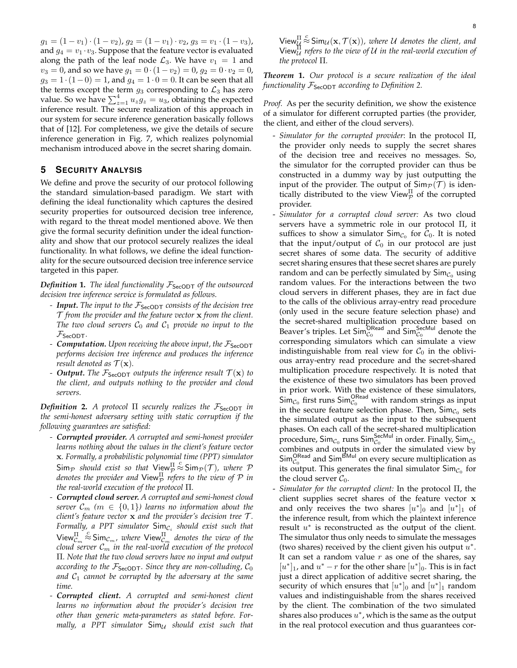$g_1 = (1 - v_1) \cdot (1 - v_2)$ ,  $g_2 = (1 - v_1) \cdot v_2$ ,  $g_3 = v_1 \cdot (1 - v_3)$ , and  $g_4 = v_1 \cdot v_3$ . Suppose that the feature vector is evaluated along the path of the leaf node  $\mathcal{L}_3$ . We have  $v_1 = 1$  and  $v_3 = 0$ , and so we have  $g_1 = 0 \cdot (1 - v_2) = 0$ ,  $g_2 = 0 \cdot v_2 = 0$ ,  $g_3 = 1 \cdot (1-0) = 1$ , and  $g_4 = 1 \cdot 0 = 0$ . It can be seen that all the terms except the term  $g_3$  corresponding to  $\mathcal{L}_3$  has zero value. So we have  $\sum_{z=1}^{4} u_z g_z = u_3$ , obtaining the expected inference result. The secure realization of this approach in our system for secure inference generation basically follows that of [12]. For completeness, we give the details of secure inference generation in Fig. 7, which realizes polynomial mechanism introduced above in the secret sharing domain.

# **5 SECURITY ANALYSIS**

We define and prove the security of our protocol following the standard simulation-based paradigm. We start with defining the ideal functionality which captures the desired security properties for outsourced decision tree inference, with regard to the threat model mentioned above. We then give the formal security definition under the ideal functionality and show that our protocol securely realizes the ideal functionality. In what follows, we define the ideal functionality for the secure outsourced decision tree inference service targeted in this paper.

*Definition* 1. *The ideal functionality*  $F_{\text{SeCDT}}$  *of the outsourced decision tree inference service is formulated as follows.*

- *- Input. The input to the* FSecODT *consists of the decision tree* T *from the provider and the feature vector* x *from the client.* The two cloud servers  $C_0$  and  $C_1$  provide no input to the  $\mathcal{F}_{\mathsf{SecODT}}$ .
- *- Computation.* Upon receiving the above input, the  $\mathcal{F}_{\text{SeCDT}}$ *performs decision tree inference and produces the inference result denoted as*  $\mathcal{T}(\mathbf{x})$ *.*
- *- Output.* The  $\mathcal{F}_{\text{SecoDT}}$  outputs the inference result  $\mathcal{T}(\mathbf{x})$  to *the client, and outputs nothing to the provider and cloud servers.*

*Definition* 2. A protocol  $\Pi$  securely realizes the  $\mathcal{F}_{\text{SecODT}}$  in *the semi-honest adversary setting with static corruption if the following guarantees are satisfied:*

- *- Corrupted provider. A corrupted and semi-honest provider learns nothing about the values in the client's feature vector* x*. Formally, a probabilistic polynomial time (PPT) simulator*  $\mathsf{Sim}_{\mathcal{P}}$  *should exist so that*  $\mathsf{View}_{\mathcal{P}}^{\Pi}$  $\stackrel{c}{\approx}$  Sim $_{\mathcal{P}}(\mathcal{T})$ *, where*  $\mathcal P$ denotes the provider and  $\mathsf{View}_{\mathcal{P}}^{\Pi}$  refers to the view of  $\mathcal P$  in *the real-world execution of the protocol* Π*.*
- *- Corrupted cloud server. A corrupted and semi-honest cloud server*  $\mathcal{C}_m$  ( $m \in \{0, 1\}$ ) learns no information about the *client's feature vector* x *and the provider's decision tree* T *.* Formally, a PPT simulator  $\mathsf{Sim}_{\mathcal{C}_i}$  should exist such that View $_{\mathcal{C}_m}^{\Pi}$  $\int_{0}^{C}$  Sim<sub>C<sub>m</sub>, where View<sup>II</sup><sub>Cm</sub> denotes the view of the</sub>  $_{cloud\;server}$   $\mathcal{C}_m$  in the real-world execution of the protocol Π*. Note that the two cloud servers have no input and output according to the*  $\mathcal{F}_{\text{SecoDT}}$ *. Since they are non-colluding,*  $\mathcal{C}_0$ and  $C_1$  *cannot be corrupted by the adversary at the same time.*
- *- Corrupted client. A corrupted and semi-honest client learns no information about the provider's decision tree other than generic meta-parameters as stated before. Formally, a PPT simulator*  $\text{Sim}_{\mathcal{U}}$  *should exist such that*

View $_{\mathcal{U}}^{\Pi}$  $\stackrel{c}{\approx}$  Sim<sub>U</sub>(**x**,  $\mathcal{T}(\mathbf{x})$ ), where U denotes the client, and View<sup>Π</sup> <sup>U</sup> *refers to the view of* U *in the real-world execution of the protocol* Π*.*

*Theorem* **1.** *Our protocol is a secure realization of the ideal functionality*  $\mathcal{F}_{\text{SecoDT}}$  *according to Definition 2.* 

*Proof.* As per the security definition, we show the existence of a simulator for different corrupted parties (the provider, the client, and either of the cloud servers).

- *Simulator for the corrupted provider*: In the protocol Π, the provider only needs to supply the secret shares of the decision tree and receives no messages. So, the simulator for the corrupted provider can thus be constructed in a dummy way by just outputting the input of the provider. The output of  $\text{Sim}_{\mathcal{P}}(\mathcal{T})$  is identically distributed to the view View $_{\mathcal{P}}^{\Pi}$  of the corrupted provider.
- *Simulator for a corrupted cloud server:* As two cloud servers have a symmetric role in our protocol Π, it suffices to show a simulator  $\mathsf{Sim}_{\mathcal{C}_0}$  for  $\mathcal{C}_0$ . It is noted that the input/output of  $C_0$  in our protocol are just secret shares of some data. The security of additive secret sharing ensures that these secret shares are purely random and can be perfectly simulated by  $\mathsf{Sim}_{\mathcal{C}_0}$  using random values. For the interactions between the two cloud servers in different phases, they are in fact due to the calls of the oblivious array-entry read procedure (only used in the secure feature selection phase) and the secret-shared multiplication procedure based on Beaver's triples. Let  $\mathsf{Sim}_{\mathcal{C}_0}^{\mathsf{ORead}}$  and  $\mathsf{Sim}_{\mathcal{C}_0}^{\mathsf{SecMul}}$  denote the corresponding simulators which can simulate a view indistinguishable from real view for  $C_0$  in the oblivious array-entry read procedure and the secret-shared multiplication procedure respectively. It is noted that the existence of these two simulators has been proved in prior work. With the existence of these simulators,  $\overline{\text{Sim}}_{\mathcal{C}_0}$  first runs  $\overline{\text{Sim}}_{\mathcal{C}_0}^{\text{ORead}}$  with random strings as input in the secure feature selection phase. Then,  $\mathsf{Sim}_\mathcal{C_0}$  sets the simulated output as the input to the subsequent phases. On each call of the secret-shared multiplication procedure, Sim $_{\mathcal{C}_0}$  runs Sim $_{\mathcal{C}_0}^{\mathsf{SecMul}}$  in order. Finally, Sim $_{\mathcal{C}_0}$ combines and outputs in order the simulated view by  $\mathsf{Sim}_{\mathcal{C}_0}^\mathsf{ORead}$  and  $\mathsf{Sim}^\mathsf{BMul}$  on every secure multiplication as its output. This generates the final simulator  $\mathsf{Sim}_\mathcal{C_0}$  for the cloud server  $C_0$ .
- *Simulator for the corrupted client:* In the protocol Π, the client supplies secret shares of the feature vector x and only receives the two shares  $[u^*]_0$  and  $[u^*]_1$  of the inference result, from which the plaintext inference result  $u^*$  is reconstructed as the output of the client. The simulator thus only needs to simulate the messages (two shares) received by the client given his output  $u^*$ . It can set a random value  $r$  as one of the shares, say  $[u^*]_1$ , and  $u^* - r$  for the other share  $[u^*]_0$ . This is in fact just a direct application of additive secret sharing, the security of which ensures that  $[u^*]_0$  and  $[u^*]_1$  random values and indistinguishable from the shares received by the client. The combination of the two simulated shares also produces  $u^*$ , which is the same as the output in the real protocol execution and thus guarantees cor-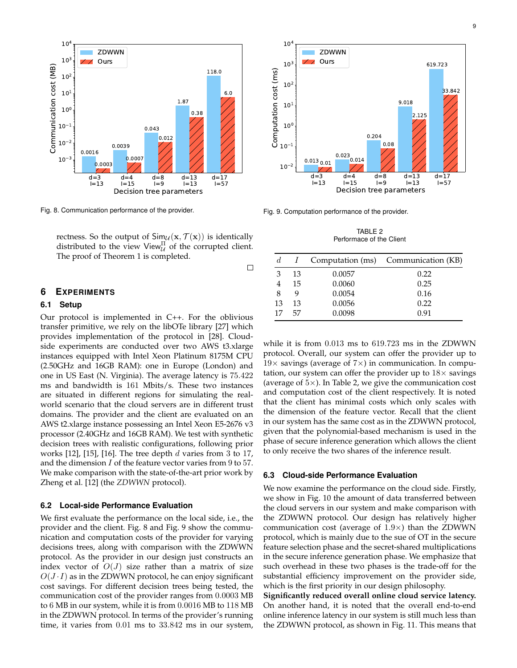

Fig. 8. Communication performance of the provider.

rectness. So the output of  $\textsf{Sim}_{\mathcal{U}}(\mathbf{x}, \mathcal{T}(\mathbf{x}))$  is identically distributed to the view View $_{\mathcal{U}}^{\Pi}$  of the corrupted client. The proof of Theorem 1 is completed.

**6 EXPERIMENTS**

## **6.1 Setup**

Our protocol is implemented in C++. For the oblivious transfer primitive, we rely on the libOTe library [27] which provides implementation of the protocol in [28]. Cloudside experiments are conducted over two AWS t3.xlarge instances equipped with Intel Xeon Platinum 8175M CPU (2.50GHz and 16GB RAM): one in Europe (London) and one in US East (N. Virginia). The average latency is 75.422 ms and bandwidth is 161 Mbits/s. These two instances are situated in different regions for simulating the realworld scenario that the cloud servers are in different trust domains. The provider and the client are evaluated on an AWS t2.xlarge instance possessing an Intel Xeon E5-2676 v3 processor (2.40GHz and 16GB RAM). We test with synthetic decision trees with realistic configurations, following prior works  $[12]$ ,  $[15]$ ,  $[16]$ . The tree depth d varies from 3 to 17, and the dimension  $I$  of the feature vector varies from 9 to 57. We make comparison with the state-of-the-art prior work by Zheng et al. [12] (the *ZDWWN* protocol).

#### **6.2 Local-side Performance Evaluation**

We first evaluate the performance on the local side, i.e., the provider and the client. Fig. 8 and Fig. 9 show the communication and computation costs of the provider for varying decisions trees, along with comparison with the ZDWWN protocol. As the provider in our design just constructs an index vector of  $O(J)$  size rather than a matrix of size  $O(J \cdot I)$  as in the ZDWWN protocol, he can enjoy significant cost savings. For different decision trees being tested, the communication cost of the provider ranges from 0.0003 MB to 6 MB in our system, while it is from 0.0016 MB to 118 MB in the ZDWWN protocol. In terms of the provider's running time, it varies from 0.01 ms to 33.842 ms in our system,



Fig. 9. Computation performance of the provider.

 $\Box$ 

TABLE 2 Performace of the Client

| d  |    |        | Computation (ms) Communication (KB) |
|----|----|--------|-------------------------------------|
| З  | 13 | 0.0057 | 0.22                                |
|    | 15 | 0.0060 | 0.25                                |
| 8  | q  | 0.0054 | 0.16                                |
| 13 | 13 | 0.0056 | 0.22                                |
| 17 | 57 | 0.0098 | 0.91                                |

while it is from 0.013 ms to 619.723 ms in the ZDWWN protocol. Overall, our system can offer the provider up to  $19\times$  savings (average of  $7\times$ ) in communication. In computation, our system can offer the provider up to  $18\times$  savings (average of  $5\times$ ). In Table 2, we give the communication cost and computation cost of the client respectively. It is noted that the client has minimal costs which only scales with the dimension of the feature vector. Recall that the client in our system has the same cost as in the ZDWWN protocol, given that the polynomial-based mechanism is used in the phase of secure inference generation which allows the client to only receive the two shares of the inference result.

#### **6.3 Cloud-side Performance Evaluation**

We now examine the performance on the cloud side. Firstly, we show in Fig. 10 the amount of data transferred between the cloud servers in our system and make comparison with the ZDWWN protocol. Our design has relatively higher communication cost (average of  $1.9\times$ ) than the ZDWWN protocol, which is mainly due to the sue of OT in the secure feature selection phase and the secret-shared multiplications in the secure inference generation phase. We emphasize that such overhead in these two phases is the trade-off for the substantial efficiency improvement on the provider side, which is the first priority in our design philosophy.

**Significantly reduced overall online cloud service latency.** On another hand, it is noted that the overall end-to-end online inference latency in our system is still much less than the ZDWWN protocol, as shown in Fig. 11. This means that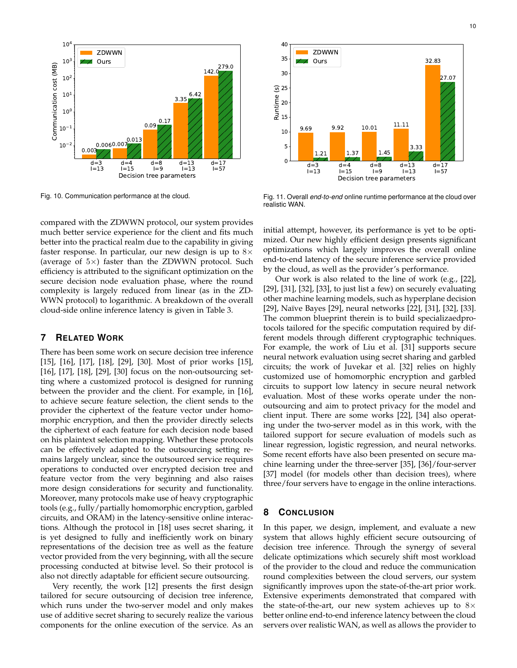

Fig. 10. Communication performance at the cloud.

compared with the ZDWWN protocol, our system provides much better service experience for the client and fits much better into the practical realm due to the capability in giving faster response. In particular, our new design is up to  $8\times$ (average of  $5\times$ ) faster than the ZDWWN protocol. Such efficiency is attributed to the significant optimization on the secure decision node evaluation phase, where the round complexity is largely reduced from linear (as in the ZD-WWN protocol) to logarithmic. A breakdown of the overall cloud-side online inference latency is given in Table 3.

# **7 RELATED WORK**

There has been some work on secure decision tree inference [15], [16], [17], [18], [29], [30]. Most of prior works [15], [16], [17], [18], [29], [30] focus on the non-outsourcing setting where a customized protocol is designed for running between the provider and the client. For example, in [16], to achieve secure feature selection, the client sends to the provider the ciphertext of the feature vector under homomorphic encryption, and then the provider directly selects the ciphertext of each feature for each decision node based on his plaintext selection mapping. Whether these protocols can be effectively adapted to the outsourcing setting remains largely unclear, since the outsourced service requires operations to conducted over encrypted decision tree and feature vector from the very beginning and also raises more design considerations for security and functionality. Moreover, many protocols make use of heavy cryptographic tools (e.g., fully/partially homomorphic encryption, garbled circuits, and ORAM) in the latency-sensitive online interactions. Although the protocol in [18] uses secret sharing, it is yet designed to fully and inefficiently work on binary representations of the decision tree as well as the feature vector provided from the very beginning, with all the secure processing conducted at bitwise level. So their protocol is also not directly adaptable for efficient secure outsourcing. Fig. 113  $\frac{1}{12}$  The stress from the online the service is the service operator of the online execution of the service operator of the components for the components for the components for the online the service experie

Very recently, the work [12] presents the first design tailored for secure outsourcing of decision tree inference, which runs under the two-server model and only makes use of additive secret sharing to securely realize the various



Fig. 11. Overall *end-to-end* online runtime performance at the cloud over realistic WAN.

initial attempt, however, its performance is yet to be optimized. Our new highly efficient design presents significant optimizations which largely improves the overall online end-to-end latency of the secure inference service provided by the cloud, as well as the provider's performance.

Our work is also related to the line of work (e.g., [22], [29], [31], [32], [33], to just list a few) on securely evaluating other machine learning models, such as hyperplane decision [29], Naïve Bayes [29], neural networks [22], [31], [32], [33]. The common blueprint therein is to build specializaedprotocols tailored for the specific computation required by different models through different cryptographic techniques. For example, the work of Liu et al. [31] supports secure neural network evaluation using secret sharing and garbled circuits; the work of Juvekar et al. [32] relies on highly customized use of homomorphic encryption and garbled circuits to support low latency in secure neural network evaluation. Most of these works operate under the nonoutsourcing and aim to protect privacy for the model and client input. There are some works [22], [34] also operating under the two-server model as in this work, with the tailored support for secure evaluation of models such as linear regression, logistic regression, and neural networks. Some recent efforts have also been presented on secure machine learning under the three-server [35], [36]/four-server [37] model (for models other than decision trees), where three/four servers have to engage in the online interactions.

# **8 CONCLUSION**

In this paper, we design, implement, and evaluate a new system that allows highly efficient secure outsourcing of decision tree inference. Through the synergy of several delicate optimizations which securely shift most workload of the provider to the cloud and reduce the communication round complexities between the cloud servers, our system significantly improves upon the state-of-the-art prior work. Extensive experiments demonstrated that compared with the state-of-the-art, our new system achieves up to  $8\times$ better online end-to-end inference latency between the cloud servers over realistic WAN, as well as allows the provider to